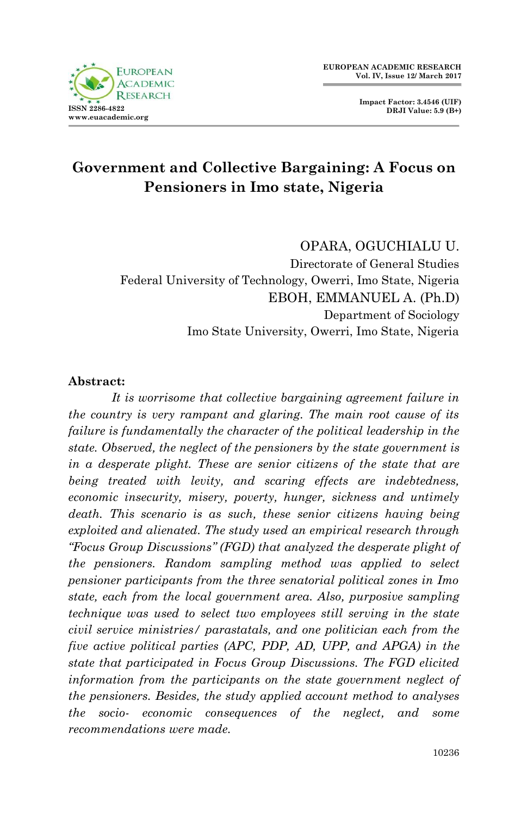

**Impact Factor: 3.4546 (UIF) DRJI Value: 5.9 (B+)**

# **Government and Collective Bargaining: A Focus on Pensioners in Imo state, Nigeria**

#### OPARA, OGUCHIALU U.

Directorate of General Studies Federal University of Technology, Owerri, Imo State, Nigeria EBOH, EMMANUEL A. (Ph.D) Department of Sociology Imo State University, Owerri, Imo State, Nigeria

#### **Abstract:**

*It is worrisome that collective bargaining agreement failure in the country is very rampant and glaring. The main root cause of its*  failure is fundamentally the character of the political leadership in the *state. Observed, the neglect of the pensioners by the state government is in a desperate plight. These are senior citizens of the state that are being treated with levity, and scaring effects are indebtedness, economic insecurity, misery, poverty, hunger, sickness and untimely death. This scenario is as such, these senior citizens having being exploited and alienated. The study used an empirical research through "Focus Group Discussions'' (FGD) that analyzed the desperate plight of the pensioners. Random sampling method was applied to select pensioner participants from the three senatorial political zones in Imo state, each from the local government area. Also, purposive sampling technique was used to select two employees still serving in the state civil service ministries/ parastatals, and one politician each from the five active political parties (APC, PDP, AD, UPP, and APGA) in the state that participated in Focus Group Discussions. The FGD elicited information from the participants on the state government neglect of the pensioners. Besides, the study applied account method to analyses the socio- economic consequences of the neglect, and some recommendations were made.*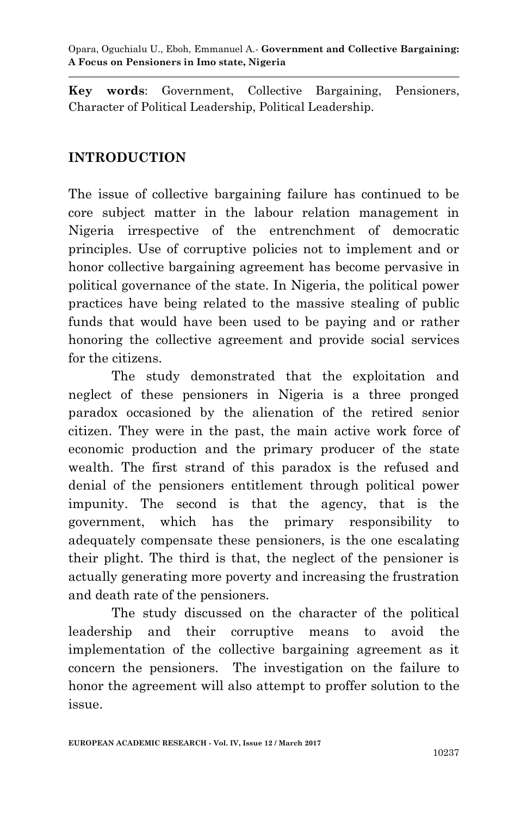Opara, Oguchialu U., Eboh, Emmanuel A.*-* **Government and Collective Bargaining: A Focus on Pensioners in Imo state, Nigeria**

**Key words**: Government, Collective Bargaining, Pensioners, Character of Political Leadership, Political Leadership.

#### **INTRODUCTION**

The issue of collective bargaining failure has continued to be core subject matter in the labour relation management in Nigeria irrespective of the entrenchment of democratic principles. Use of corruptive policies not to implement and or honor collective bargaining agreement has become pervasive in political governance of the state. In Nigeria, the political power practices have being related to the massive stealing of public funds that would have been used to be paying and or rather honoring the collective agreement and provide social services for the citizens.

The study demonstrated that the exploitation and neglect of these pensioners in Nigeria is a three pronged paradox occasioned by the alienation of the retired senior citizen. They were in the past, the main active work force of economic production and the primary producer of the state wealth. The first strand of this paradox is the refused and denial of the pensioners entitlement through political power impunity. The second is that the agency, that is the government, which has the primary responsibility to adequately compensate these pensioners, is the one escalating their plight. The third is that, the neglect of the pensioner is actually generating more poverty and increasing the frustration and death rate of the pensioners.

The study discussed on the character of the political leadership and their corruptive means to avoid the implementation of the collective bargaining agreement as it concern the pensioners. The investigation on the failure to honor the agreement will also attempt to proffer solution to the issue.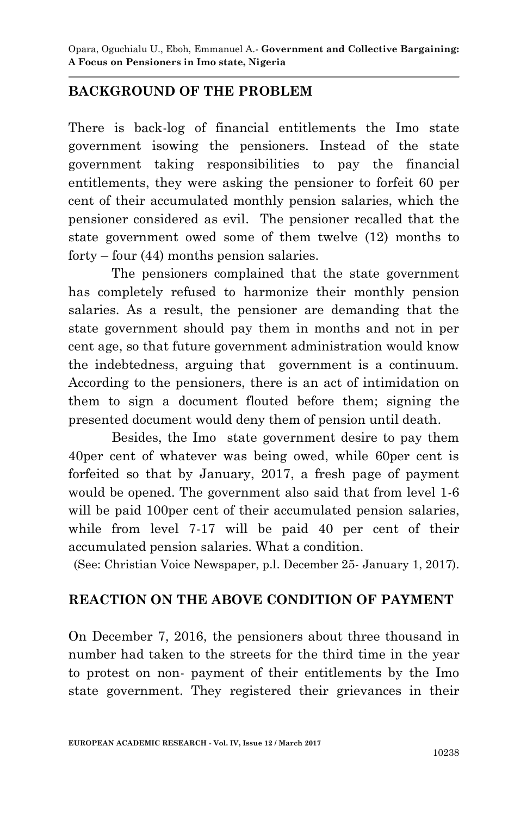### **BACKGROUND OF THE PROBLEM**

There is back-log of financial entitlements the Imo state government isowing the pensioners. Instead of the state government taking responsibilities to pay the financial entitlements, they were asking the pensioner to forfeit 60 per cent of their accumulated monthly pension salaries, which the pensioner considered as evil. The pensioner recalled that the state government owed some of them twelve (12) months to forty – four (44) months pension salaries.

The pensioners complained that the state government has completely refused to harmonize their monthly pension salaries. As a result, the pensioner are demanding that the state government should pay them in months and not in per cent age, so that future government administration would know the indebtedness, arguing that government is a continuum. According to the pensioners, there is an act of intimidation on them to sign a document flouted before them; signing the presented document would deny them of pension until death.

Besides, the Imo state government desire to pay them 40per cent of whatever was being owed, while 60per cent is forfeited so that by January, 2017, a fresh page of payment would be opened. The government also said that from level 1-6 will be paid 100 per cent of their accumulated pension salaries, while from level 7-17 will be paid 40 per cent of their accumulated pension salaries. What a condition.

(See: Christian Voice Newspaper, p.l. December 25- January 1, 2017).

#### **REACTION ON THE ABOVE CONDITION OF PAYMENT**

On December 7, 2016, the pensioners about three thousand in number had taken to the streets for the third time in the year to protest on non- payment of their entitlements by the Imo state government. They registered their grievances in their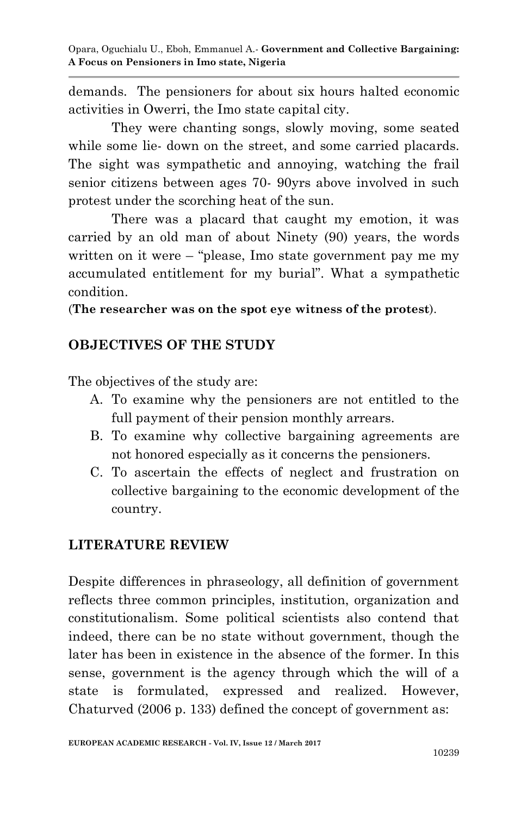demands. The pensioners for about six hours halted economic activities in Owerri, the Imo state capital city.

They were chanting songs, slowly moving, some seated while some lie- down on the street, and some carried placards. The sight was sympathetic and annoying, watching the frail senior citizens between ages 70- 90yrs above involved in such protest under the scorching heat of the sun.

There was a placard that caught my emotion, it was carried by an old man of about Ninety (90) years, the words written on it were – "please, Imo state government pay me my accumulated entitlement for my burial". What a sympathetic condition.

(**The researcher was on the spot eye witness of the protest**).

# **OBJECTIVES OF THE STUDY**

The objectives of the study are:

- A. To examine why the pensioners are not entitled to the full payment of their pension monthly arrears.
- B. To examine why collective bargaining agreements are not honored especially as it concerns the pensioners.
- C. To ascertain the effects of neglect and frustration on collective bargaining to the economic development of the country.

# **LITERATURE REVIEW**

Despite differences in phraseology, all definition of government reflects three common principles, institution, organization and constitutionalism. Some political scientists also contend that indeed, there can be no state without government, though the later has been in existence in the absence of the former. In this sense, government is the agency through which the will of a state is formulated, expressed and realized. However, Chaturved (2006 p. 133) defined the concept of government as: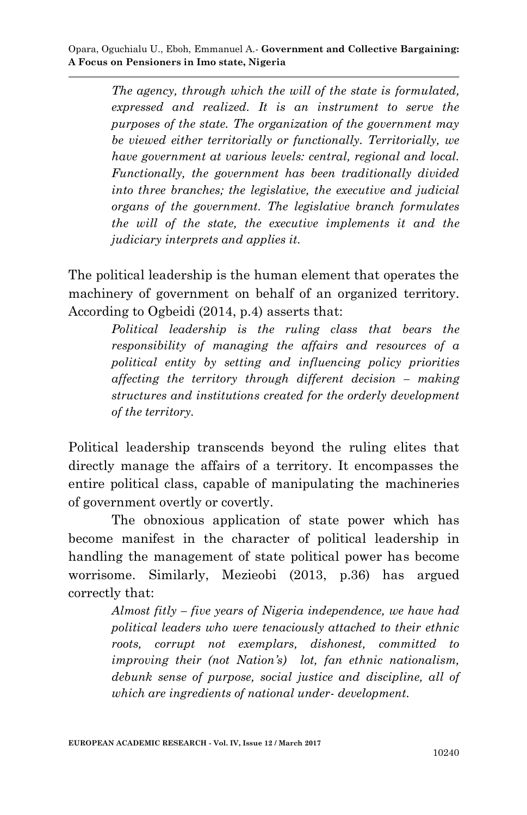*The agency, through which the will of the state is formulated, expressed and realized. It is an instrument to serve the purposes of the state. The organization of the government may be viewed either territorially or functionally. Territorially, we have government at various levels: central, regional and local. Functionally, the government has been traditionally divided into three branches; the legislative, the executive and judicial organs of the government. The legislative branch formulates the will of the state, the executive implements it and the judiciary interprets and applies it.* 

The political leadership is the human element that operates the machinery of government on behalf of an organized territory. According to Ogbeidi (2014, p.4) asserts that:

> *Political leadership is the ruling class that bears the responsibility of managing the affairs and resources of a political entity by setting and influencing policy priorities affecting the territory through different decision – making structures and institutions created for the orderly development of the territory.*

Political leadership transcends beyond the ruling elites that directly manage the affairs of a territory. It encompasses the entire political class, capable of manipulating the machineries of government overtly or covertly.

The obnoxious application of state power which has become manifest in the character of political leadership in handling the management of state political power has become worrisome. Similarly, Mezieobi (2013, p.36) has argued correctly that:

> *Almost fitly – five years of Nigeria independence, we have had political leaders who were tenaciously attached to their ethnic roots, corrupt not exemplars, dishonest, committed to improving their (not Nation's) lot, fan ethnic nationalism, debunk sense of purpose, social justice and discipline, all of which are ingredients of national under- development.*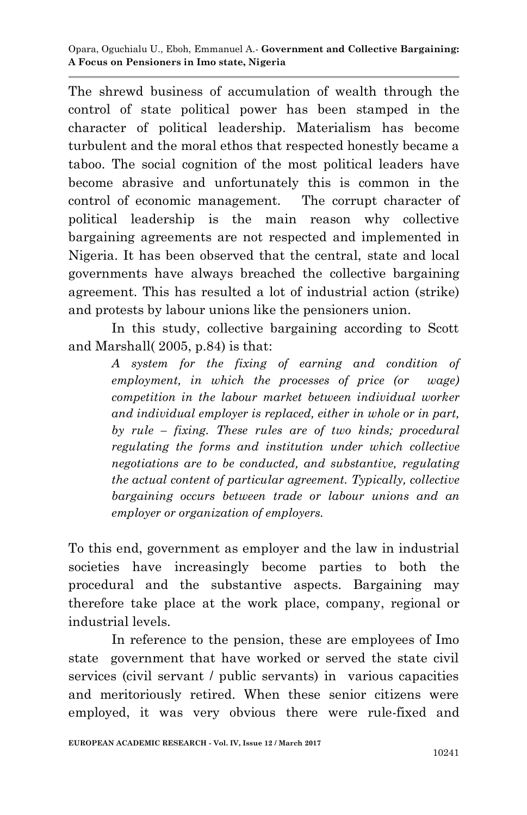The shrewd business of accumulation of wealth through the control of state political power has been stamped in the character of political leadership. Materialism has become turbulent and the moral ethos that respected honestly became a taboo. The social cognition of the most political leaders have become abrasive and unfortunately this is common in the control of economic management. The corrupt character of political leadership is the main reason why collective bargaining agreements are not respected and implemented in Nigeria. It has been observed that the central, state and local governments have always breached the collective bargaining agreement. This has resulted a lot of industrial action (strike) and protests by labour unions like the pensioners union.

In this study, collective bargaining according to Scott and Marshall( 2005, p.84) is that:

> *A system for the fixing of earning and condition of employment, in which the processes of price (or wage) competition in the labour market between individual worker and individual employer is replaced, either in whole or in part, by rule – fixing. These rules are of two kinds; procedural regulating the forms and institution under which collective negotiations are to be conducted, and substantive, regulating the actual content of particular agreement. Typically, collective bargaining occurs between trade or labour unions and an employer or organization of employers.*

To this end, government as employer and the law in industrial societies have increasingly become parties to both the procedural and the substantive aspects. Bargaining may therefore take place at the work place, company, regional or industrial levels.

In reference to the pension, these are employees of Imo state government that have worked or served the state civil services (civil servant / public servants) in various capacities and meritoriously retired. When these senior citizens were employed, it was very obvious there were rule-fixed and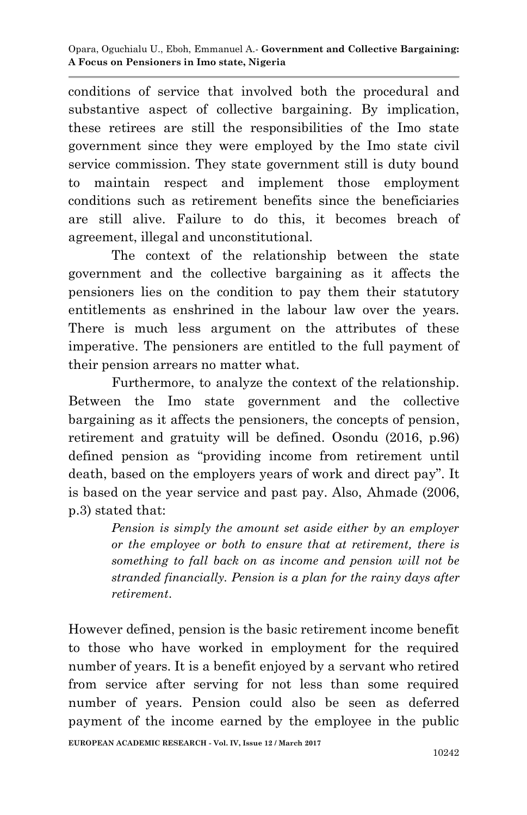conditions of service that involved both the procedural and substantive aspect of collective bargaining. By implication, these retirees are still the responsibilities of the Imo state government since they were employed by the Imo state civil service commission. They state government still is duty bound to maintain respect and implement those employment conditions such as retirement benefits since the beneficiaries are still alive. Failure to do this, it becomes breach of agreement, illegal and unconstitutional.

The context of the relationship between the state government and the collective bargaining as it affects the pensioners lies on the condition to pay them their statutory entitlements as enshrined in the labour law over the years. There is much less argument on the attributes of these imperative. The pensioners are entitled to the full payment of their pension arrears no matter what.

Furthermore, to analyze the context of the relationship. Between the Imo state government and the collective bargaining as it affects the pensioners, the concepts of pension, retirement and gratuity will be defined. Osondu (2016, p.96) defined pension as "providing income from retirement until death, based on the employers years of work and direct pay". It is based on the year service and past pay. Also, Ahmade (2006, p.3) stated that:

> *Pension is simply the amount set aside either by an employer or the employee or both to ensure that at retirement, there is something to fall back on as income and pension will not be stranded financially. Pension is a plan for the rainy days after retirement*.

However defined, pension is the basic retirement income benefit to those who have worked in employment for the required number of years. It is a benefit enjoyed by a servant who retired from service after serving for not less than some required number of years. Pension could also be seen as deferred payment of the income earned by the employee in the public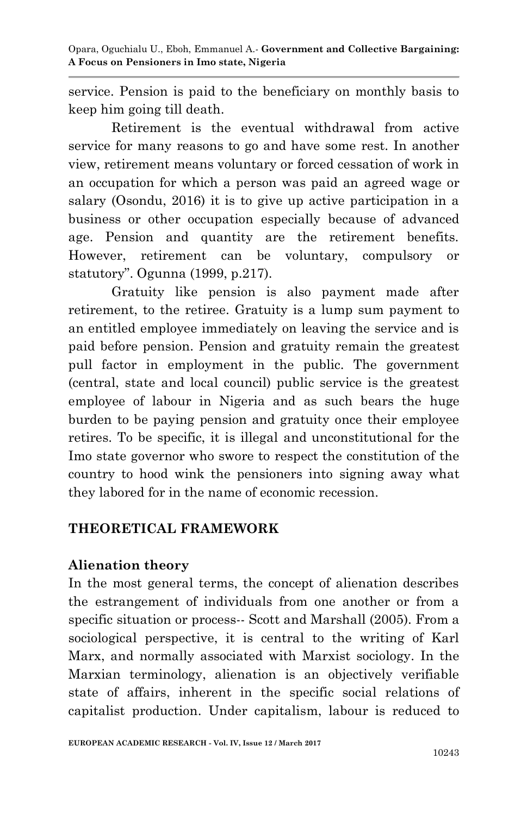service. Pension is paid to the beneficiary on monthly basis to keep him going till death.

Retirement is the eventual withdrawal from active service for many reasons to go and have some rest. In another view, retirement means voluntary or forced cessation of work in an occupation for which a person was paid an agreed wage or salary (Osondu, 2016) it is to give up active participation in a business or other occupation especially because of advanced age. Pension and quantity are the retirement benefits. However, retirement can be voluntary, compulsory or statutory". Ogunna (1999, p.217).

Gratuity like pension is also payment made after retirement, to the retiree. Gratuity is a lump sum payment to an entitled employee immediately on leaving the service and is paid before pension. Pension and gratuity remain the greatest pull factor in employment in the public. The government (central, state and local council) public service is the greatest employee of labour in Nigeria and as such bears the huge burden to be paying pension and gratuity once their employee retires. To be specific, it is illegal and unconstitutional for the Imo state governor who swore to respect the constitution of the country to hood wink the pensioners into signing away what they labored for in the name of economic recession.

# **THEORETICAL FRAMEWORK**

#### **Alienation theory**

In the most general terms, the concept of alienation describes the estrangement of individuals from one another or from a specific situation or process-- Scott and Marshall (2005). From a sociological perspective, it is central to the writing of Karl Marx, and normally associated with Marxist sociology. In the Marxian terminology, alienation is an objectively verifiable state of affairs, inherent in the specific social relations of capitalist production. Under capitalism, labour is reduced to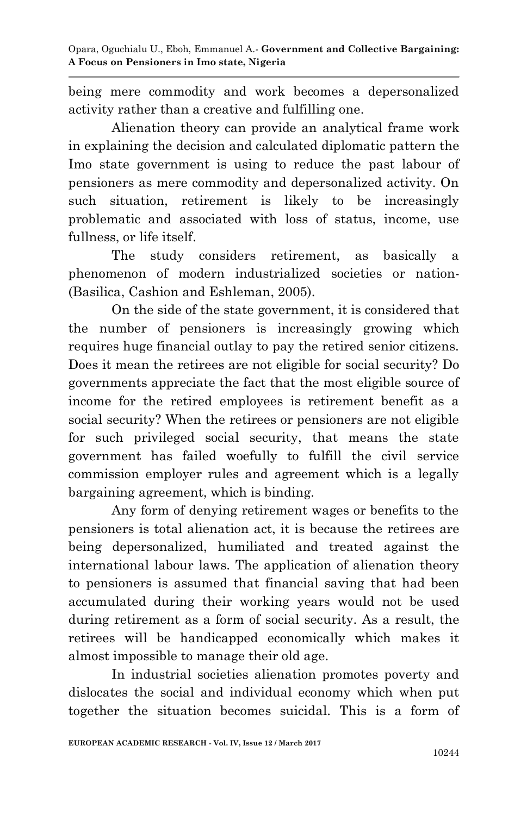being mere commodity and work becomes a depersonalized activity rather than a creative and fulfilling one.

Alienation theory can provide an analytical frame work in explaining the decision and calculated diplomatic pattern the Imo state government is using to reduce the past labour of pensioners as mere commodity and depersonalized activity. On such situation, retirement is likely to be increasingly problematic and associated with loss of status, income, use fullness, or life itself.

The study considers retirement, as basically a phenomenon of modern industrialized societies or nation- (Basilica, Cashion and Eshleman, 2005).

On the side of the state government, it is considered that the number of pensioners is increasingly growing which requires huge financial outlay to pay the retired senior citizens. Does it mean the retirees are not eligible for social security? Do governments appreciate the fact that the most eligible source of income for the retired employees is retirement benefit as a social security? When the retirees or pensioners are not eligible for such privileged social security, that means the state government has failed woefully to fulfill the civil service commission employer rules and agreement which is a legally bargaining agreement, which is binding.

Any form of denying retirement wages or benefits to the pensioners is total alienation act, it is because the retirees are being depersonalized, humiliated and treated against the international labour laws. The application of alienation theory to pensioners is assumed that financial saving that had been accumulated during their working years would not be used during retirement as a form of social security. As a result, the retirees will be handicapped economically which makes it almost impossible to manage their old age.

In industrial societies alienation promotes poverty and dislocates the social and individual economy which when put together the situation becomes suicidal. This is a form of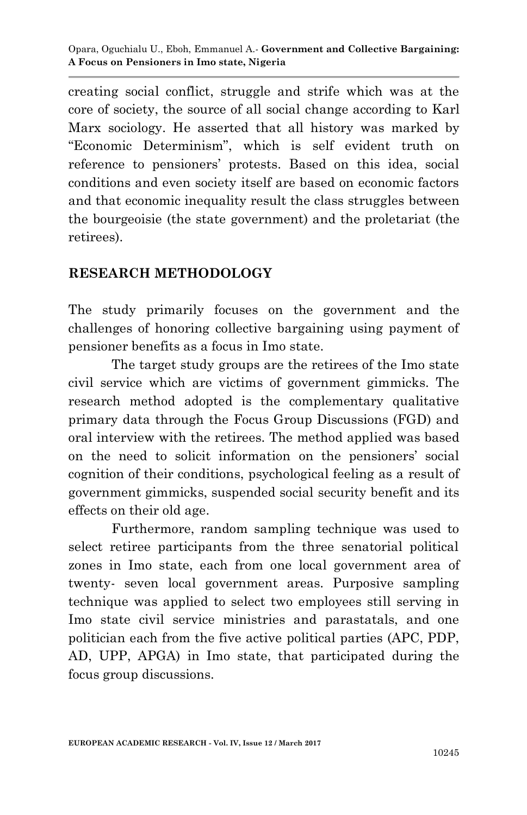creating social conflict, struggle and strife which was at the core of society, the source of all social change according to Karl Marx sociology. He asserted that all history was marked by "Economic Determinism", which is self evident truth on reference to pensioners' protests. Based on this idea, social conditions and even society itself are based on economic factors and that economic inequality result the class struggles between the bourgeoisie (the state government) and the proletariat (the retirees).

### **RESEARCH METHODOLOGY**

The study primarily focuses on the government and the challenges of honoring collective bargaining using payment of pensioner benefits as a focus in Imo state.

The target study groups are the retirees of the Imo state civil service which are victims of government gimmicks. The research method adopted is the complementary qualitative primary data through the Focus Group Discussions (FGD) and oral interview with the retirees. The method applied was based on the need to solicit information on the pensioners' social cognition of their conditions, psychological feeling as a result of government gimmicks, suspended social security benefit and its effects on their old age.

Furthermore, random sampling technique was used to select retiree participants from the three senatorial political zones in Imo state, each from one local government area of twenty- seven local government areas. Purposive sampling technique was applied to select two employees still serving in Imo state civil service ministries and parastatals, and one politician each from the five active political parties (APC, PDP, AD, UPP, APGA) in Imo state, that participated during the focus group discussions.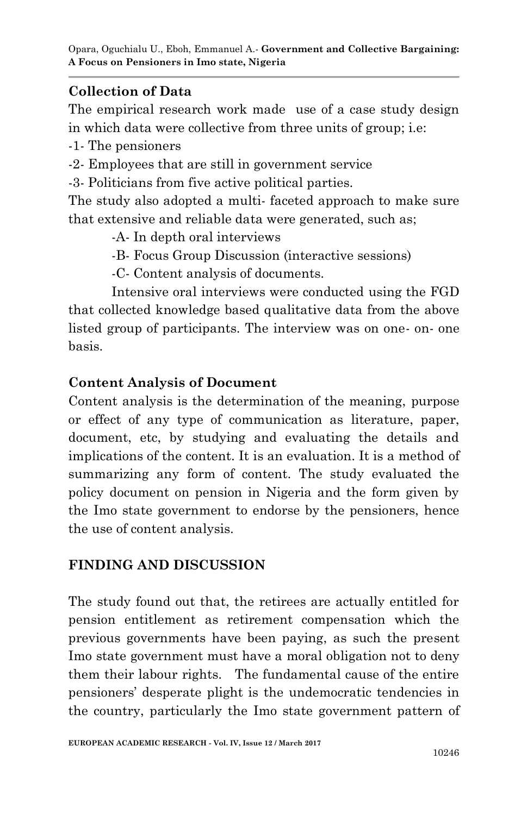# **Collection of Data**

The empirical research work made use of a case study design in which data were collective from three units of group; i.e:

-1- The pensioners

-2- Employees that are still in government service

-3- Politicians from five active political parties.

The study also adopted a multi- faceted approach to make sure that extensive and reliable data were generated, such as;

-A- In depth oral interviews

-B- Focus Group Discussion (interactive sessions)

-C- Content analysis of documents.

Intensive oral interviews were conducted using the FGD that collected knowledge based qualitative data from the above listed group of participants. The interview was on one- on- one basis.

# **Content Analysis of Document**

Content analysis is the determination of the meaning, purpose or effect of any type of communication as literature, paper, document, etc, by studying and evaluating the details and implications of the content. It is an evaluation. It is a method of summarizing any form of content. The study evaluated the policy document on pension in Nigeria and the form given by the Imo state government to endorse by the pensioners, hence the use of content analysis.

# **FINDING AND DISCUSSION**

The study found out that, the retirees are actually entitled for pension entitlement as retirement compensation which the previous governments have been paying, as such the present Imo state government must have a moral obligation not to deny them their labour rights. The fundamental cause of the entire pensioners' desperate plight is the undemocratic tendencies in the country, particularly the Imo state government pattern of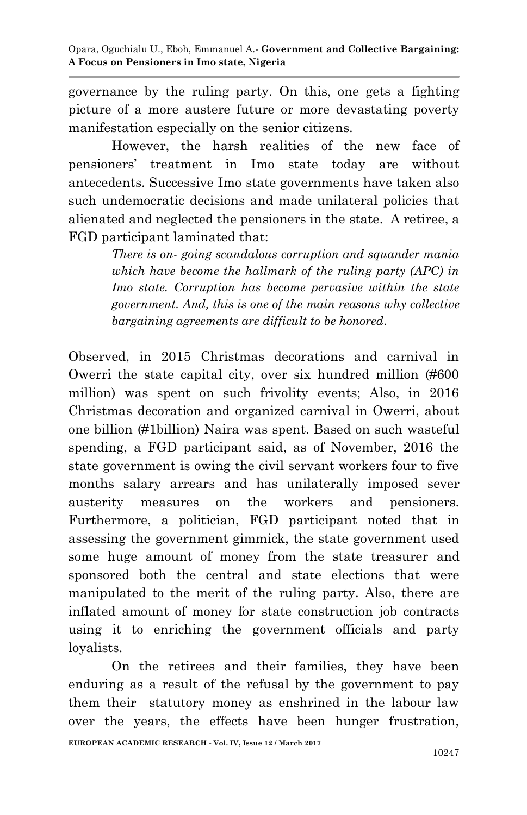governance by the ruling party. On this, one gets a fighting picture of a more austere future or more devastating poverty manifestation especially on the senior citizens.

However, the harsh realities of the new face of pensioners' treatment in Imo state today are without antecedents. Successive Imo state governments have taken also such undemocratic decisions and made unilateral policies that alienated and neglected the pensioners in the state. A retiree, a FGD participant laminated that:

> *There is on- going scandalous corruption and squander mania which have become the hallmark of the ruling party (APC) in Imo state. Corruption has become pervasive within the state government. And, this is one of the main reasons why collective bargaining agreements are difficult to be honored*.

Observed, in 2015 Christmas decorations and carnival in Owerri the state capital city, over six hundred million (#600 million) was spent on such frivolity events; Also, in 2016 Christmas decoration and organized carnival in Owerri, about one billion (#1billion) Naira was spent. Based on such wasteful spending, a FGD participant said, as of November, 2016 the state government is owing the civil servant workers four to five months salary arrears and has unilaterally imposed sever austerity measures on the workers and pensioners. Furthermore, a politician, FGD participant noted that in assessing the government gimmick, the state government used some huge amount of money from the state treasurer and sponsored both the central and state elections that were manipulated to the merit of the ruling party. Also, there are inflated amount of money for state construction job contracts using it to enriching the government officials and party loyalists.

On the retirees and their families, they have been enduring as a result of the refusal by the government to pay them their statutory money as enshrined in the labour law over the years, the effects have been hunger frustration,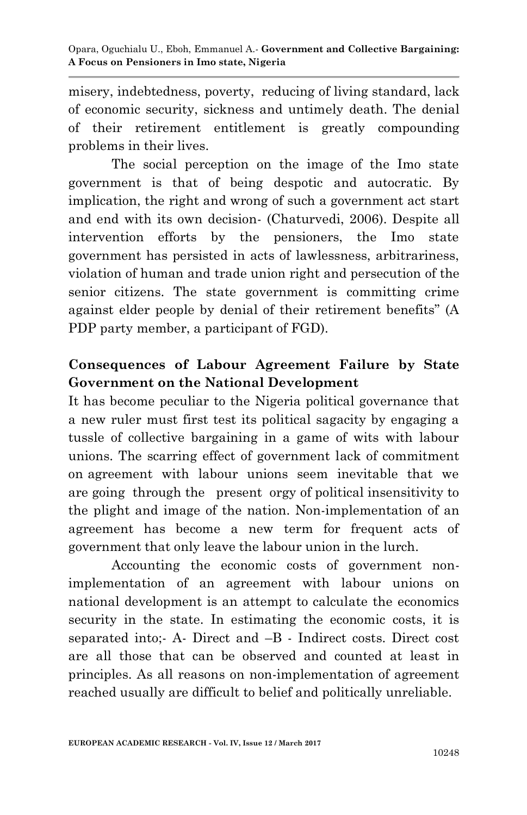misery, indebtedness, poverty, reducing of living standard, lack of economic security, sickness and untimely death. The denial of their retirement entitlement is greatly compounding problems in their lives.

The social perception on the image of the Imo state government is that of being despotic and autocratic. By implication, the right and wrong of such a government act start and end with its own decision- (Chaturvedi, 2006). Despite all intervention efforts by the pensioners, the Imo state government has persisted in acts of lawlessness, arbitrariness, violation of human and trade union right and persecution of the senior citizens. The state government is committing crime against elder people by denial of their retirement benefits" (A PDP party member, a participant of FGD).

# **Consequences of Labour Agreement Failure by State Government on the National Development**

It has become peculiar to the Nigeria political governance that a new ruler must first test its political sagacity by engaging a tussle of collective bargaining in a game of wits with labour unions. The scarring effect of government lack of commitment on agreement with labour unions seem inevitable that we are going through the present orgy of political insensitivity to the plight and image of the nation. Non-implementation of an agreement has become a new term for frequent acts of government that only leave the labour union in the lurch.

Accounting the economic costs of government nonimplementation of an agreement with labour unions on national development is an attempt to calculate the economics security in the state. In estimating the economic costs, it is separated into;- A- Direct and –B - Indirect costs. Direct cost are all those that can be observed and counted at least in principles. As all reasons on non-implementation of agreement reached usually are difficult to belief and politically unreliable.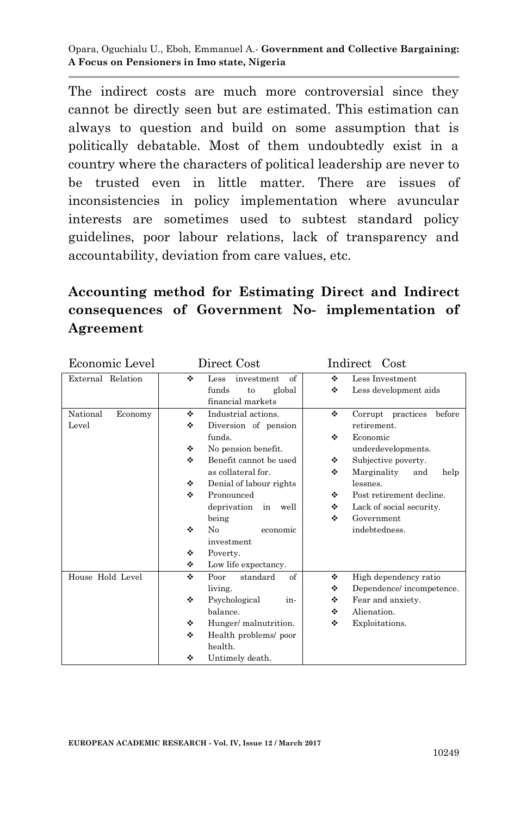Opara, Oguchialu U., Eboh, Emmanuel A.*-* **Government and Collective Bargaining: A Focus on Pensioners in Imo state, Nigeria**

The indirect costs are much more controversial since they cannot be directly seen but are estimated. This estimation can always to question and build on some assumption that is politically debatable. Most of them undoubtedly exist in a country where the characters of political leadership are never to be trusted even in little matter. There are issues of inconsistencies in policy implementation where avuncular interests are sometimes used to subtest standard policy guidelines, poor labour relations, lack of transparency and accountability, deviation from care values, etc.

# **Accounting method for Estimating Direct and Indirect consequences of Government No- implementation of Agreement**

| Economic Level      | Direct Cost |                           | Indirect<br>Cost |                             |
|---------------------|-------------|---------------------------|------------------|-----------------------------|
| External Relation   | ٠           | of<br>investment<br>Less  | ٠                | Less Investment             |
|                     |             | funds<br>global<br>to     | ٠                | Less development aids       |
|                     |             | financial markets         |                  |                             |
| National<br>Economy | ÷           | Industrial actions.       | ٠                | before<br>Corrupt practices |
| Level               | ٠           | Diversion of pension      |                  | retirement.                 |
|                     |             | funds.                    | ٠                | Economic                    |
|                     | ٠           | No pension benefit.       |                  | underdevelopments.          |
|                     | ÷           | Benefit cannot be used    | ٠                | Subjective poverty.         |
|                     |             | as collateral for.        | ٠                | Marginality<br>help<br>and  |
|                     | ٠           | Denial of labour rights   |                  | lessnes.                    |
|                     | ÷           | Pronounced                | ٠                | Post retirement decline.    |
|                     |             | deprivation<br>well<br>in | ٠                | Lack of social security.    |
|                     |             | being                     | ٠                | Government                  |
|                     | ٠           | No<br>economic            |                  | indebtedness.               |
|                     |             | investment                |                  |                             |
|                     | ٠           | Poverty.                  |                  |                             |
|                     | ٠           | Low life expectancy.      |                  |                             |
| House Hold Level    | ٠           | of<br>standard<br>Poor    | ٠                | High dependency ratio       |
|                     |             | living.                   | ٠                | Dependence/incompetence.    |
|                     | ٠           | Psychological<br>in-      | ٠                | Fear and anxiety.           |
|                     |             | balance.                  | ❖                | Alienation.                 |
|                     | ÷           | Hunger/ malnutrition.     | ❖                | Exploitations.              |
|                     | ٠           | Health problems/ poor     |                  |                             |
|                     |             | health.                   |                  |                             |
|                     | ❖           | Untimely death.           |                  |                             |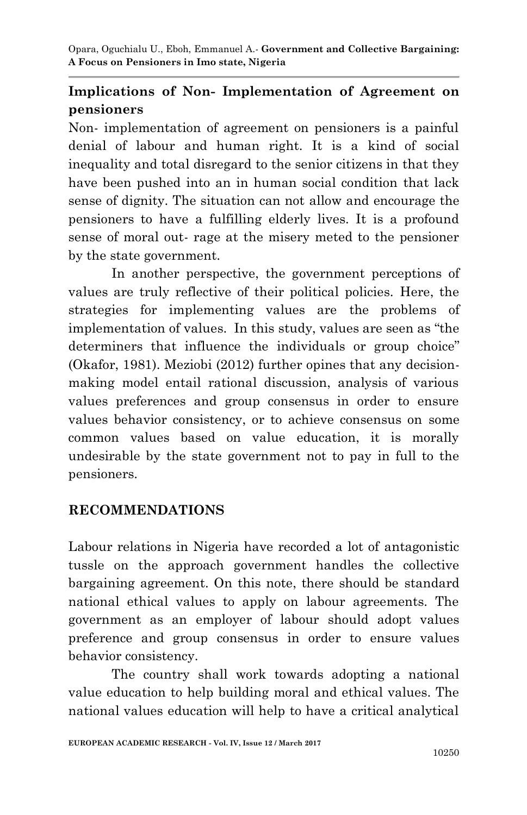Opara, Oguchialu U., Eboh, Emmanuel A.*-* **Government and Collective Bargaining: A Focus on Pensioners in Imo state, Nigeria**

# **Implications of Non- Implementation of Agreement on pensioners**

Non- implementation of agreement on pensioners is a painful denial of labour and human right. It is a kind of social inequality and total disregard to the senior citizens in that they have been pushed into an in human social condition that lack sense of dignity. The situation can not allow and encourage the pensioners to have a fulfilling elderly lives. It is a profound sense of moral out- rage at the misery meted to the pensioner by the state government.

In another perspective, the government perceptions of values are truly reflective of their political policies. Here, the strategies for implementing values are the problems of implementation of values. In this study, values are seen as "the determiners that influence the individuals or group choice" (Okafor, 1981). Meziobi (2012) further opines that any decisionmaking model entail rational discussion, analysis of various values preferences and group consensus in order to ensure values behavior consistency, or to achieve consensus on some common values based on value education, it is morally undesirable by the state government not to pay in full to the pensioners.

# **RECOMMENDATIONS**

Labour relations in Nigeria have recorded a lot of antagonistic tussle on the approach government handles the collective bargaining agreement. On this note, there should be standard national ethical values to apply on labour agreements. The government as an employer of labour should adopt values preference and group consensus in order to ensure values behavior consistency.

The country shall work towards adopting a national value education to help building moral and ethical values. The national values education will help to have a critical analytical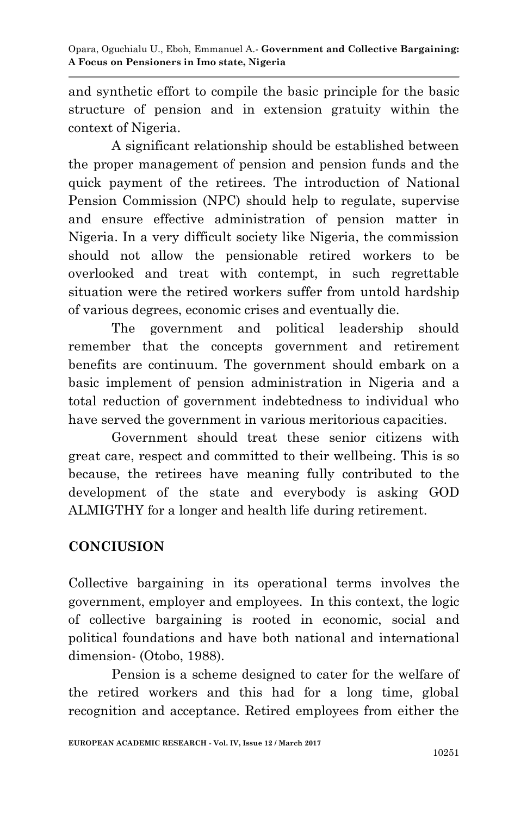and synthetic effort to compile the basic principle for the basic structure of pension and in extension gratuity within the context of Nigeria.

A significant relationship should be established between the proper management of pension and pension funds and the quick payment of the retirees. The introduction of National Pension Commission (NPC) should help to regulate, supervise and ensure effective administration of pension matter in Nigeria. In a very difficult society like Nigeria, the commission should not allow the pensionable retired workers to be overlooked and treat with contempt, in such regrettable situation were the retired workers suffer from untold hardship of various degrees, economic crises and eventually die.

The government and political leadership should remember that the concepts government and retirement benefits are continuum. The government should embark on a basic implement of pension administration in Nigeria and a total reduction of government indebtedness to individual who have served the government in various meritorious capacities.

Government should treat these senior citizens with great care, respect and committed to their wellbeing. This is so because, the retirees have meaning fully contributed to the development of the state and everybody is asking GOD ALMIGTHY for a longer and health life during retirement.

# **CONCIUSION**

Collective bargaining in its operational terms involves the government, employer and employees. In this context, the logic of collective bargaining is rooted in economic, social and political foundations and have both national and international dimension- (Otobo, 1988).

Pension is a scheme designed to cater for the welfare of the retired workers and this had for a long time, global recognition and acceptance. Retired employees from either the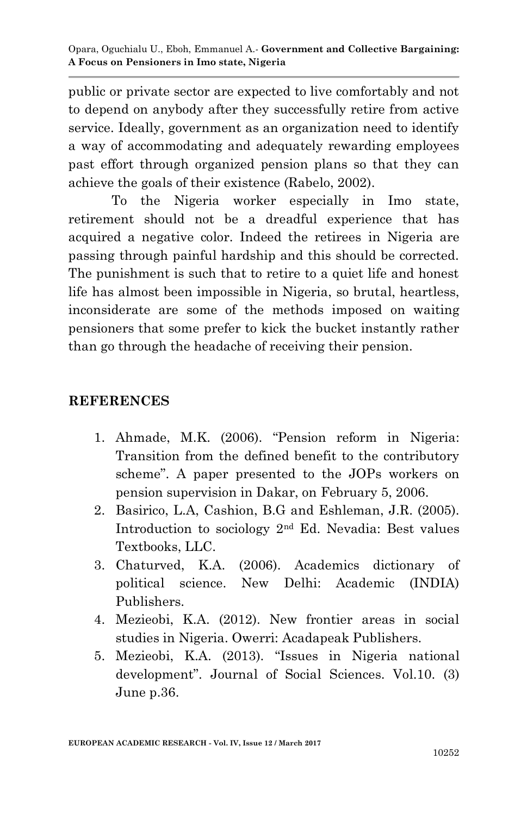public or private sector are expected to live comfortably and not to depend on anybody after they successfully retire from active service. Ideally, government as an organization need to identify a way of accommodating and adequately rewarding employees past effort through organized pension plans so that they can achieve the goals of their existence (Rabelo, 2002).

To the Nigeria worker especially in Imo state, retirement should not be a dreadful experience that has acquired a negative color. Indeed the retirees in Nigeria are passing through painful hardship and this should be corrected. The punishment is such that to retire to a quiet life and honest life has almost been impossible in Nigeria, so brutal, heartless, inconsiderate are some of the methods imposed on waiting pensioners that some prefer to kick the bucket instantly rather than go through the headache of receiving their pension.

### **REFERENCES**

- 1. Ahmade, M.K. (2006). "Pension reform in Nigeria: Transition from the defined benefit to the contributory scheme". A paper presented to the JOPs workers on pension supervision in Dakar, on February 5, 2006.
- 2. Basirico, L.A, Cashion, B.G and Eshleman, J.R. (2005). Introduction to sociology 2nd Ed. Nevadia: Best values Textbooks, LLC.
- 3. Chaturved, K.A. (2006). Academics dictionary of political science. New Delhi: Academic (INDIA) Publishers.
- 4. Mezieobi, K.A. (2012). New frontier areas in social studies in Nigeria. Owerri: Acadapeak Publishers.
- 5. Mezieobi, K.A. (2013). "Issues in Nigeria national development". Journal of Social Sciences. Vol.10. (3) June p.36.